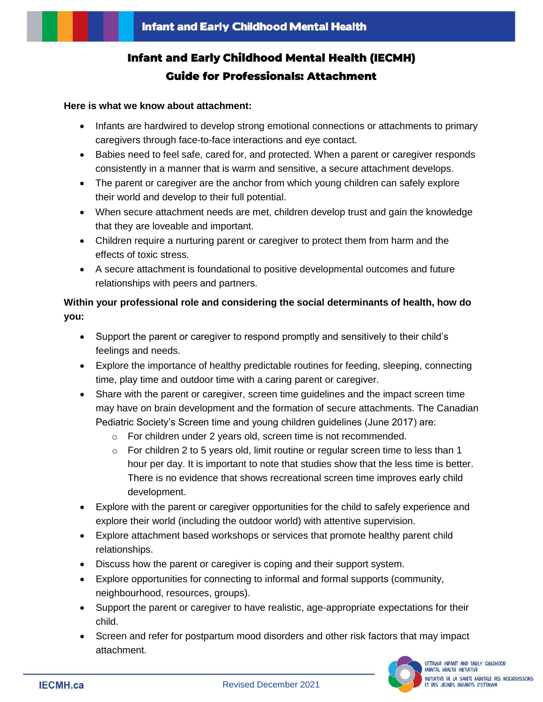# **Infant and Early Childhood Mental Health (IECMH) Guide for Professionals: Attachment**

#### **Here is what we know about attachment:**

- Infants are hardwired to develop strong emotional connections or attachments to primary caregivers through face-to-face interactions and eye contact.
- Babies need to feel safe, cared for, and protected. When a parent or caregiver responds consistently in a manner that is warm and sensitive, a secure attachment develops.
- The parent or caregiver are the anchor from which young children can safely explore their world and develop to their full potential.
- When secure attachment needs are met, children develop trust and gain the knowledge that they are loveable and important.
- Children require a nurturing parent or caregiver to protect them from harm and the effects of toxic stress.
- A secure attachment is foundational to positive developmental outcomes and future relationships with peers and partners.

# **Within your professional role and considering the social determinants of health, how do you:**

- Support the parent or caregiver to respond promptly and sensitively to their child's feelings and needs.
- Explore the importance of healthy predictable routines for feeding, sleeping, connecting time, play time and outdoor time with a caring parent or caregiver.
- Share with the parent or caregiver, screen time guidelines and the impact screen time may have on brain development and the formation of secure attachments. The Canadian Pediatric Society's Screen time and young children guidelines (June 2017) are:
	- o For children under 2 years old, screen time is not recommended.
	- $\circ$  For children 2 to 5 years old, limit routine or regular screen time to less than 1 hour per day. It is important to note that studies show that the less time is better. There is no evidence that shows recreational screen time improves early child development.
- Explore with the parent or caregiver opportunities for the child to safely experience and explore their world (including the outdoor world) with attentive supervision.
- Explore attachment based workshops or services that promote healthy parent child relationships.
- Discuss how the parent or caregiver is coping and their support system.
- Explore opportunities for connecting to informal and formal supports (community, neighbourhood, resources, groups).
- Support the parent or caregiver to have realistic, age-appropriate expectations for their child.
- Screen and refer for postpartum mood disorders and other risk factors that may impact attachment.